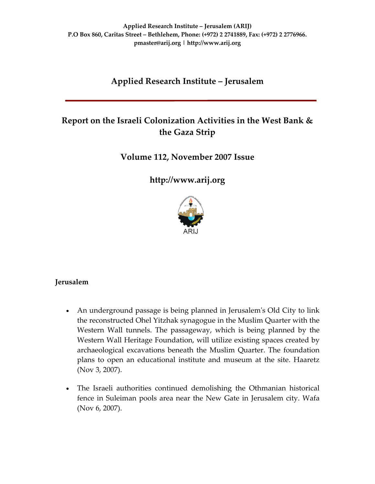# **Applied Research Institute – Jerusalem**

# **Report on the Israeli Colonization Activities in the West Bank & the Gaza Strip**

## **Volume 112, November 2007 Issue**

**[http://www.arij.org](http://www.arij.org/)**



## **Jerusalem**

- An underground passage is being planned in Jerusalem's Old City to link the reconstructed Ohel Yitzhak synagogue in the Muslim Quarter with the Western Wall tunnels. The passageway, which is being planned by the Western Wall Heritage Foundation, will utilize existing spaces created by archaeological excavations beneath the Muslim Quarter. The foundation plans to open an educational institute and museum at the site. Haaretz (Nov 3, 2007).
- The Israeli authorities continued demolishing the Othmanian historical fence in Suleiman pools area near the New Gate in Jerusalem city. Wafa (Nov 6, 2007).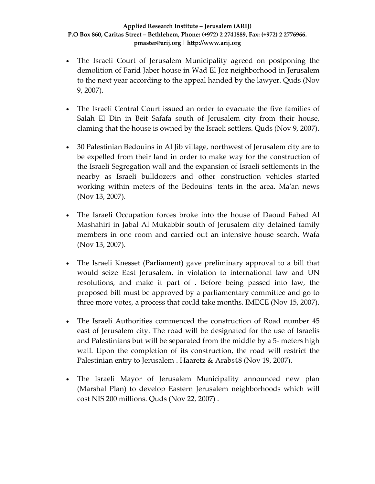- The Israeli Court of Jerusalem Municipality agreed on postponing the demolition of Farid Jaber house in Wad El Joz neighborhood in Jerusalem to the next year according to the appeal handed by the lawyer. Quds (Nov 9, 2007).
- The Israeli Central Court issued an order to evacuate the five families of Salah El Din in Beit Safafa south of Jerusalem city from their house, claming that the house is owned by the Israeli settlers. Quds (Nov 9, 2007).
- 30 Palestinian Bedouins in Al Jib village, northwest of Jerusalem city are to be expelled from their land in order to make way for the construction of the Israeli Segregation wall and the expansion of Israeli settlements in the nearby as Israeli bulldozers and other construction vehicles started working within meters of the Bedouins' tents in the area. Ma'an news (Nov 13, 2007).
- The Israeli Occupation forces broke into the house of Daoud Fahed Al Mashahiri in Jabal Al Mukabbir south of Jerusalem city detained family members in one room and carried out an intensive house search. Wafa (Nov 13, 2007).
- The Israeli Knesset (Parliament) gave preliminary approval to a bill that would seize East Jerusalem, in violation to international law and UN resolutions, and make it part of . Before being passed into law, the proposed bill must be approved by a parliamentary committee and go to three more votes, a process that could take months. IMECE (Nov 15, 2007).
- The Israeli Authorities commenced the construction of Road number 45 east of Jerusalem city. The road will be designated for the use of Israelis and Palestinians but will be separated from the middle by a 5‐ meters high wall. Upon the completion of its construction, the road will restrict the Palestinian entry to Jerusalem . Haaretz & Arabs48 (Nov 19, 2007).
- The Israeli Mayor of Jerusalem Municipality announced new plan (Marshal Plan) to develop Eastern Jerusalem neighborhoods which will cost NIS 200 millions. Quds (Nov 22, 2007) .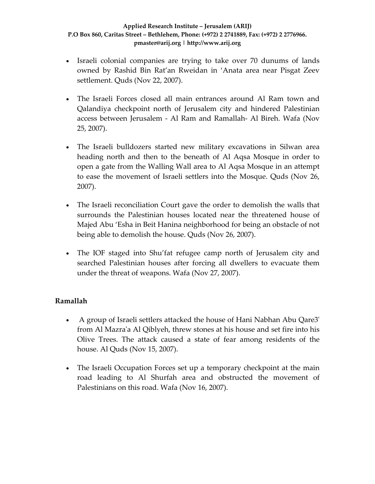- Israeli colonial companies are trying to take over 70 dunums of lands owned by Rashid Bin Rat'an Rweidan in 'Anata area near Pisgat Zeev settlement. Quds (Nov 22, 2007).
- The Israeli Forces closed all main entrances around Al Ram town and Qalandiya checkpoint north of Jerusalem city and hindered Palestinian access between Jerusalem ‐ Al Ram and Ramallah‐ Al Bireh. Wafa (Nov 25, 2007).
- The Israeli bulldozers started new military excavations in Silwan area heading north and then to the beneath of Al Aqsa Mosque in order to open a gate from the Walling Wall area to Al Aqsa Mosque in an attempt to ease the movement of Israeli settlers into the Mosque. Quds (Nov 26, 2007).
- The Israeli reconciliation Court gave the order to demolish the walls that surrounds the Palestinian houses located near the threatened house of Majed Abu 'Esha in Beit Hanina neighborhood for being an obstacle of not being able to demolish the house. Quds (Nov 26, 2007).
- The IOF staged into Shu'fat refugee camp north of Jerusalem city and searched Palestinian houses after forcing all dwellers to evacuate them under the threat of weapons. Wafa (Nov 27, 2007).

## **Ramallah**

- A group of Israeli settlers attacked the house of Hani Nabhan Abu Qare3ʹ from Al Mazraʹa Al Qiblyeh, threw stones at his house and set fire into his Olive Trees. The attack caused a state of fear among residents of the house. Al Quds (Nov 15, 2007).
- The Israeli Occupation Forces set up a temporary checkpoint at the main road leading to Al Shurfah area and obstructed the movement of Palestinians on this road. Wafa (Nov 16, 2007).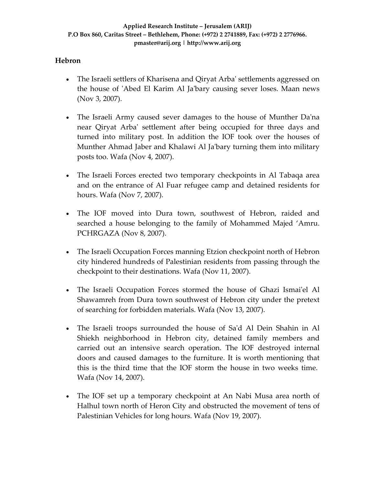## **Hebron**

- The Israeli settlers of Kharisena and Qiryat Arba' settlements aggressed on the house of ʹAbed El Karim Al Jaʹbary causing sever loses. Maan news (Nov 3, 2007).
- The Israeli Army caused sever damages to the house of Munther Da'na near Qiryat Arbaʹ settlement after being occupied for three days and turned into military post. In addition the IOF took over the houses of Munther Ahmad Jaber and Khalawi Al Jaʹbary turning them into military posts too. Wafa (Nov 4, 2007).
- The Israeli Forces erected two temporary checkpoints in Al Tabaqa area and on the entrance of Al Fuar refugee camp and detained residents for hours. Wafa (Nov 7, 2007).
- The IOF moved into Dura town, southwest of Hebron, raided and searched a house belonging to the family of Mohammed Majed 'Amru. PCHRGAZA (Nov 8, 2007).
- The Israeli Occupation Forces manning Etzion checkpoint north of Hebron city hindered hundreds of Palestinian residents from passing through the checkpoint to their destinations. Wafa (Nov 11, 2007).
- The Israeli Occupation Forces stormed the house of Ghazi Ismai'el Al Shawamreh from Dura town southwest of Hebron city under the pretext of searching for forbidden materials. Wafa (Nov 13, 2007).
- The Israeli troops surrounded the house of Sa'd Al Dein Shahin in Al Shiekh neighborhood in Hebron city, detained family members and carried out an intensive search operation. The IOF destroyed internal doors and caused damages to the furniture. It is worth mentioning that this is the third time that the IOF storm the house in two weeks time. Wafa (Nov 14, 2007).
- The IOF set up a temporary checkpoint at An Nabi Musa area north of Halhul town north of Heron City and obstructed the movement of tens of Palestinian Vehicles for long hours. Wafa (Nov 19, 2007).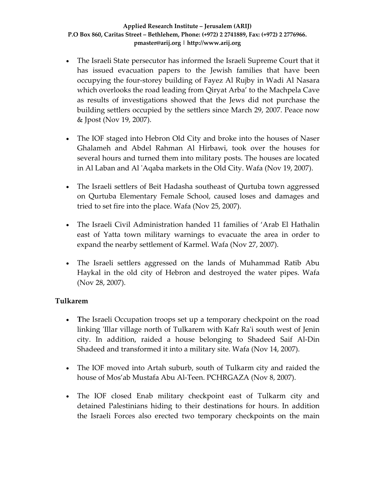- The Israeli State persecutor has informed the Israeli Supreme Court that it has issued evacuation papers to the Jewish families that have been occupying the four‐storey building of Fayez Al Rujby in Wadi Al Nasara which overlooks the road leading from Qiryat Arba' to the Machpela Cave as results of investigations showed that the Jews did not purchase the building settlers occupied by the settlers since March 29, 2007. Peace now & Jpost (Nov 19, 2007).
- The IOF staged into Hebron Old City and broke into the houses of Naser Ghalameh and Abdel Rahman Al Hirbawi, took over the houses for several hours and turned them into military posts. The houses are located in Al Laban and Al ʹAqaba markets in the Old City. Wafa (Nov 19, 2007).
- The Israeli settlers of Beit Hadasha southeast of Qurtuba town aggressed on Qurtuba Elementary Female School, caused loses and damages and tried to set fire into the place. Wafa (Nov 25, 2007).
- The Israeli Civil Administration handed 11 families of 'Arab El Hathalin east of Yatta town military warnings to evacuate the area in order to expand the nearby settlement of Karmel. Wafa (Nov 27, 2007).
- The Israeli settlers aggressed on the lands of Muhammad Ratib Abu Haykal in the old city of Hebron and destroyed the water pipes. Wafa (Nov 28, 2007).

## **Tulkarem**

- **The Israeli Occupation troops set up a temporary checkpoint on the road** linking 'Illar village north of Tulkarem with Kafr Ra'i south west of Jenin city. In addition, raided a house belonging to Shadeed Saif Al‐Din Shadeed and transformed it into a military site. Wafa (Nov 14, 2007).
- The IOF moved into Artah suburb, south of Tulkarm city and raided the house of Mos'ab Mustafa Abu Al-Teen. PCHRGAZA (Nov 8, 2007).
- The IOF closed Enab military checkpoint east of Tulkarm city and detained Palestinians hiding to their destinations for hours. In addition the Israeli Forces also erected two temporary checkpoints on the main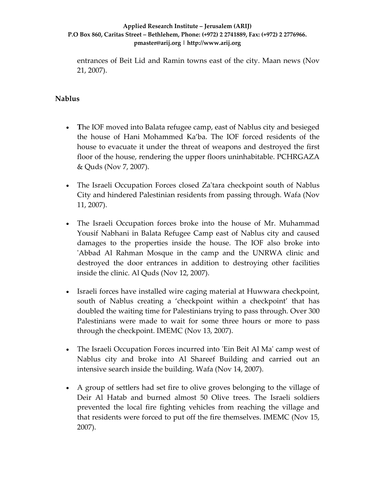entrances of Beit Lid and Ramin towns east of the city. Maan news (Nov 21, 2007).

### **Nablus**

- **T**he IOF moved into Balata refugee camp, east of Nablus city and besieged the house of Hani Mohammed Ka'ba. The IOF forced residents of the house to evacuate it under the threat of weapons and destroyed the first floor of the house, rendering the upper floors uninhabitable. PCHRGAZA & Quds (Nov 7, 2007).
- The Israeli Occupation Forces closed Za'tara checkpoint south of Nablus City and hindered Palestinian residents from passing through. Wafa (Nov 11, 2007).
- The Israeli Occupation forces broke into the house of Mr. Muhammad Yousif Nabhani in Balata Refugee Camp east of Nablus city and caused damages to the properties inside the house. The IOF also broke into ʹAbbad Al Rahman Mosque in the camp and the UNRWA clinic and destroyed the door entrances in addition to destroying other facilities inside the clinic. Al Quds (Nov 12, 2007).
- Israeli forces have installed wire caging material at Huwwara checkpoint, south of Nablus creating a 'checkpoint within a checkpoint' that has doubled the waiting time for Palestinians trying to pass through. Over 300 Palestinians were made to wait for some three hours or more to pass through the checkpoint. IMEMC (Nov 13, 2007).
- The Israeli Occupation Forces incurred into 'Ein Beit Al Ma' camp west of Nablus city and broke into Al Shareef Building and carried out an intensive search inside the building. Wafa (Nov 14, 2007).
- A group of settlers had set fire to olive groves belonging to the village of Deir Al Hatab and burned almost 50 Olive trees. The Israeli soldiers prevented the local fire fighting vehicles from reaching the village and that residents were forced to put off the fire themselves. IMEMC (Nov 15, 2007).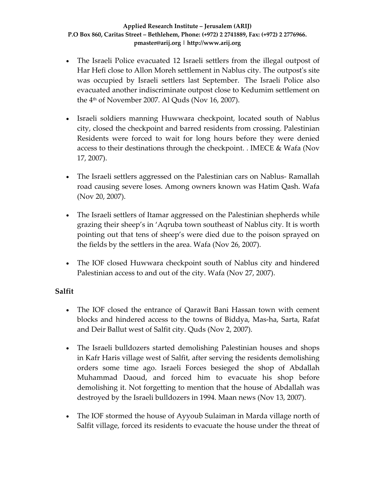- The Israeli Police evacuated 12 Israeli settlers from the illegal outpost of Har Hefi close to Allon Moreh settlement in Nablus city. The outpost's site was occupied by Israeli settlers last September. The Israeli Police also evacuated another indiscriminate outpost close to Kedumim settlement on the  $4<sup>th</sup>$  of November 2007. Al Quds (Nov 16, 2007).
- Israeli soldiers manning Huwwara checkpoint, located south of Nablus city, closed the checkpoint and barred residents from crossing. Palestinian Residents were forced to wait for long hours before they were denied access to their destinations through the checkpoint. . IMECE & Wafa (Nov 17, 2007).
- The Israeli settlers aggressed on the Palestinian cars on Nablus- Ramallah road causing severe loses. Among owners known was Hatim Qash. Wafa (Nov 20, 2007).
- The Israeli settlers of Itamar aggressed on the Palestinian shepherds while grazing their sheep's in 'Aqruba town southeast of Nablus city. It is worth pointing out that tens of sheep's were died due to the poison sprayed on the fields by the settlers in the area. Wafa (Nov 26, 2007).
- The IOF closed Huwwara checkpoint south of Nablus city and hindered Palestinian access to and out of the city. Wafa (Nov 27, 2007).

## **Salfit**

- The IOF closed the entrance of Qarawit Bani Hassan town with cement blocks and hindered access to the towns of Biddya, Mas‐ha, Sarta, Rafat and Deir Ballut west of Salfit city. Quds (Nov 2, 2007).
- The Israeli bulldozers started demolishing Palestinian houses and shops in Kafr Haris village west of Salfit, after serving the residents demolishing orders some time ago. Israeli Forces besieged the shop of Abdallah Muhammad Daoud, and forced him to evacuate his shop before demolishing it. Not forgetting to mention that the house of Abdallah was destroyed by the Israeli bulldozers in 1994. Maan news (Nov 13, 2007).
- The IOF stormed the house of Ayyoub Sulaiman in Marda village north of Salfit village, forced its residents to evacuate the house under the threat of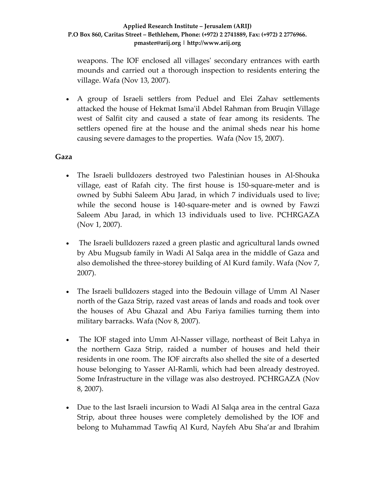weapons. The IOF enclosed all villagesʹ secondary entrances with earth mounds and carried out a thorough inspection to residents entering the village. Wafa (Nov 13, 2007).

• A group of Israeli settlers from Peduel and Elei Zahav settlements attacked the house of Hekmat Ismaʹil Abdel Rahman from Bruqin Village west of Salfit city and caused a state of fear among its residents. The settlers opened fire at the house and the animal sheds near his home causing severe damages to the properties. Wafa (Nov 15, 2007).

### **Gaza**

- The Israeli bulldozers destroyed two Palestinian houses in Al‐Shouka village, east of Rafah city. The first house is 150‐square‐meter and is owned by Subhi Saleem Abu Jarad, in which 7 individuals used to live; while the second house is 140-square-meter and is owned by Fawzi Saleem Abu Jarad, in which 13 individuals used to live. PCHRGAZA (Nov 1, 2007).
- The Israeli bulldozers razed a green plastic and agricultural lands owned by Abu Mugsub family in Wadi Al Salqa area in the middle of Gaza and also demolished the three‐storey building of Al Kurd family. Wafa (Nov 7, 2007).
- The Israeli bulldozers staged into the Bedouin village of Umm Al Naser north of the Gaza Strip, razed vast areas of lands and roads and took over the houses of Abu Ghazal and Abu Fariya families turning them into military barracks. Wafa (Nov 8, 2007).
- The IOF staged into Umm Al-Nasser village, northeast of Beit Lahya in the northern Gaza Strip, raided a number of houses and held their residents in one room. The IOF aircrafts also shelled the site of a deserted house belonging to Yasser Al‐Ramli, which had been already destroyed. Some Infrastructure in the village was also destroyed. PCHRGAZA (Nov 8, 2007).
- Due to the last Israeli incursion to Wadi Al Salqa area in the central Gaza Strip, about three houses were completely demolished by the IOF and belong to Muhammad Tawfiq Al Kurd, Nayfeh Abu Sha'ar and Ibrahim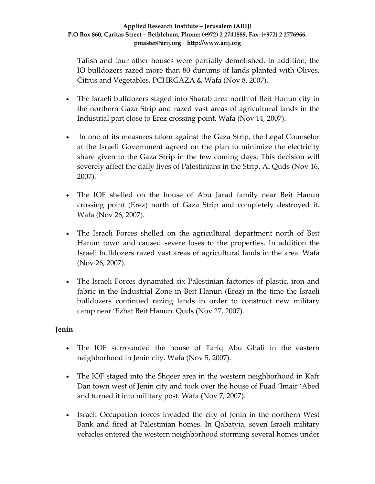Tafish and four other houses were partially demolished. In addition, the IO bulldozers razed more than 80 dunums of lands planted with Olives, Citrus and Vegetables. PCHRGAZA & Wafa (Nov 8, 2007).

- The Israeli bulldozers staged into Sharab area north of Beit Hanun city in the northern Gaza Strip and razed vast areas of agricultural lands in the Industrial part close to Erez crossing point. Wafa (Nov 14, 2007).
- In one of its measures taken against the Gaza Strip, the Legal Counselor at the Israeli Government agreed on the plan to minimize the electricity share given to the Gaza Strip in the few coming days. This decision will severely affect the daily lives of Palestinians in the Strip. Al Quds (Nov 16, 2007).
- The IOF shelled on the house of Abu Jarad family near Beit Hanun crossing point (Erez) north of Gaza Strip and completely destroyed it. Wafa (Nov 26, 2007).
- The Israeli Forces shelled on the agricultural department north of Beit Hanun town and caused severe loses to the properties. In addition the Israeli bulldozers razed vast areas of agricultural lands in the area. Wafa (Nov 26, 2007).
- The Israeli Forces dynamited six Palestinian factories of plastic, iron and fabric in the Industrial Zone in Beit Hanun (Erez) in the time the Israeli bulldozers continued razing lands in order to construct new military camp near 'Ezbat Beit Hanun. Quds (Nov 27, 2007).

## **Jenin**

- The IOF surrounded the house of Tariq Abu Ghali in the eastern neighborhood in Jenin city. Wafa (Nov 5, 2007).
- The IOF staged into the Shqeer area in the western neighborhood in Kafr Dan town west of Jenin city and took over the house of Fuad 'Imair 'Abed and turned it into military post. Wafa (Nov 7, 2007).
- Israeli Occupation forces invaded the city of Jenin in the northern West Bank and fired at Palestinian homes. In Qabatyia, seven Israeli military vehicles entered the western neighborhood storming several homes under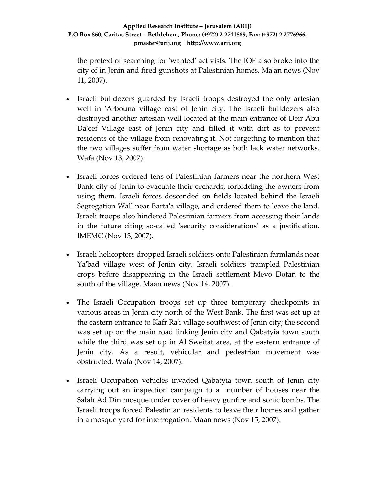the pretext of searching for ʹwantedʹ activists. The IOF also broke into the city of in Jenin and fired gunshots at Palestinian homes. Maʹan news (Nov 11, 2007).

- Israeli bulldozers guarded by Israeli troops destroyed the only artesian well in 'Arbouna village east of Jenin city. The Israeli bulldozers also destroyed another artesian well located at the main entrance of Deir Abu Da'eef Village east of Jenin city and filled it with dirt as to prevent residents of the village from renovating it. Not forgetting to mention that the two villages suffer from water shortage as both lack water networks. Wafa (Nov 13, 2007).
- Israeli forces ordered tens of Palestinian farmers near the northern West Bank city of Jenin to evacuate their orchards, forbidding the owners from using them. Israeli forces descended on fields located behind the Israeli Segregation Wall near Bartaʹa village, and ordered them to leave the land. Israeli troops also hindered Palestinian farmers from accessing their lands in the future citing so-called 'security considerations' as a justification. IMEMC (Nov 13, 2007).
- Israeli helicopters dropped Israeli soldiers onto Palestinian farmlands near Yaʹbad village west of Jenin city. Israeli soldiers trampled Palestinian crops before disappearing in the Israeli settlement Mevo Dotan to the south of the village. Maan news (Nov 14, 2007).
- The Israeli Occupation troops set up three temporary checkpoints in various areas in Jenin city north of the West Bank. The first was set up at the eastern entrance to Kafr Raʹi village southwest of Jenin city; the second was set up on the main road linking Jenin city and Qabatyia town south while the third was set up in Al Sweitat area, at the eastern entrance of Jenin city. As a result, vehicular and pedestrian movement was obstructed. Wafa (Nov 14, 2007).
- Israeli Occupation vehicles invaded Qabatyia town south of Jenin city carrying out an inspection campaign to a number of houses near the Salah Ad Din mosque under cover of heavy gunfire and sonic bombs. The Israeli troops forced Palestinian residents to leave their homes and gather in a mosque yard for interrogation. Maan news (Nov 15, 2007).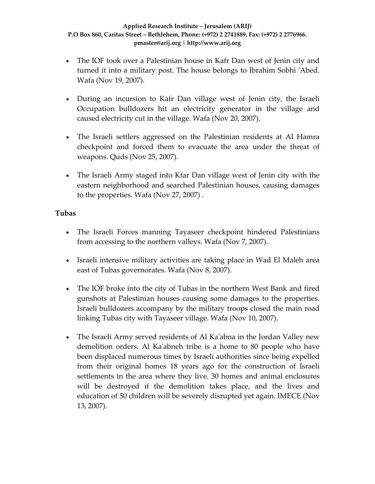- The IOF took over a Palestinian house in Kafr Dan west of Jenin city and turned it into a military post. The house belongs to Ibrahim Sobhi ʹAbed. Wafa (Nov 19, 2007).
- During an incursion to Kafr Dan village west of Jenin city, the Israeli Occupation bulldozers hit an electricity generator in the village and caused electricity cut in the village. Wafa (Nov 20, 2007).
- The Israeli settlers aggressed on the Palestinian residents at Al Hamra checkpoint and forced them to evacuate the area under the threat of weapons. Quds (Nov 25, 2007).
- The Israeli Army staged into Kfar Dan village west of Jenin city with the eastern neighborhood and searched Palestinian houses, causing damages to the properties. Wafa (Nov 27, 2007) .

## **Tubas**

- The Israeli Forces manning Tayaseer checkpoint hindered Palestinians from accessing to the northern valleys. Wafa (Nov 7, 2007).
- Israeli intensive military activities are taking place in Wad El Maleh area east of Tubas governorates. Wafa (Nov 8, 2007).
- The IOF broke into the city of Tubas in the northern West Bank and fired gunshots at Palestinian houses causing some damages to the properties. Israeli bulldozers accompany by the military troops closed the main road linking Tubas city with Tayaseer village. Wafa (Nov 10, 2007).
- The Israeli Army served residents of Al Ka'abna in the Jordan Valley new demolition orders. Al Kaʹabneh tribe is a home to 80 people who have been displaced numerous times by Israeli authorities since being expelled from their original homes 18 years ago for the construction of Israeli settlements in the area where they live. 30 homes and animal enclosures will be destroyed if the demolition takes place, and the lives and education of 50 children will be severely disrupted yet again. IMECE (Nov 13, 2007).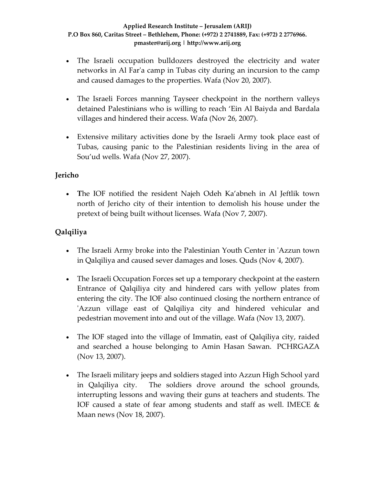- The Israeli occupation bulldozers destroyed the electricity and water networks in Al Farʹa camp in Tubas city during an incursion to the camp and caused damages to the properties. Wafa (Nov 20, 2007).
- The Israeli Forces manning Tayseer checkpoint in the northern valleys detained Palestinians who is willing to reach 'Ein Al Baiyda and Bardala villages and hindered their access. Wafa (Nov 26, 2007).
- Extensive military activities done by the Israeli Army took place east of Tubas, causing panic to the Palestinian residents living in the area of Sou'ud wells. Wafa (Nov 27, 2007).

## **Jericho**

• **T**he IOF notified the resident Najeh Odeh Ka'abneh in Al Jeftlik town north of Jericho city of their intention to demolish his house under the pretext of being built without licenses. Wafa (Nov 7, 2007).

## **Qalqiliya**

- The Israeli Army broke into the Palestinian Youth Center in 'Azzun town in Qalqiliya and caused sever damages and loses. Quds (Nov 4, 2007).
- The Israeli Occupation Forces set up a temporary checkpoint at the eastern Entrance of Qalqiliya city and hindered cars with yellow plates from entering the city. The IOF also continued closing the northern entrance of 'Azzun village east of Qalqiliya city and hindered vehicular and pedestrian movement into and out of the village. Wafa (Nov 13, 2007).
- The IOF staged into the village of Immatin, east of Qalqiliya city, raided and searched a house belonging to Amin Hasan Sawan. PCHRGAZA (Nov 13, 2007).
- The Israeli military jeeps and soldiers staged into Azzun High School yard in Qalqiliya city. The soldiers drove around the school grounds, interrupting lessons and waving their guns at teachers and students. The IOF caused a state of fear among students and staff as well. IMECE & Maan news (Nov 18, 2007).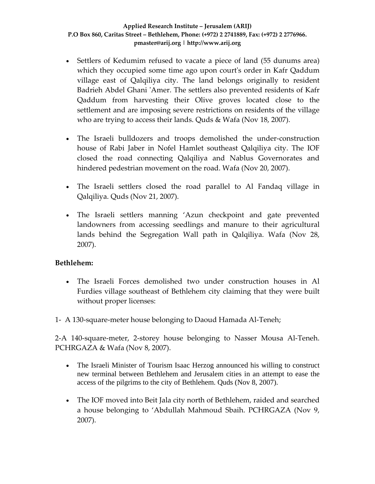- Settlers of Kedumim refused to vacate a piece of land (55 dunums area) which they occupied some time ago upon court's order in Kafr Qaddum village east of Qalqiliya city. The land belongs originally to resident Badrieh Abdel Ghani 'Amer. The settlers also prevented residents of Kafr Qaddum from harvesting their Olive groves located close to the settlement and are imposing severe restrictions on residents of the village who are trying to access their lands. Quds & Wafa (Nov 18, 2007).
- The Israeli bulldozers and troops demolished the under-construction house of Rabi Jaber in Nofel Hamlet southeast Qalqiliya city. The IOF closed the road connecting Qalqiliya and Nablus Governorates and hindered pedestrian movement on the road. Wafa (Nov 20, 2007).
- The Israeli settlers closed the road parallel to Al Fandaq village in Qalqiliya. Quds (Nov 21, 2007).
- The Israeli settlers manning 'Azun checkpoint and gate prevented landowners from accessing seedlings and manure to their agricultural lands behind the Segregation Wall path in Qalqiliya. Wafa (Nov 28, 2007).

## **Bethlehem:**

- The Israeli Forces demolished two under construction houses in Al Furdies village southeast of Bethlehem city claiming that they were built without proper licenses:
- 1‐ A 130‐square‐meter house belonging to Daoud Hamada Al‐Teneh;

2‐A 140‐square‐meter, 2‐storey house belonging to Nasser Mousa Al‐Teneh. PCHRGAZA & Wafa (Nov 8, 2007).

- The Israeli Minister of Tourism Isaac Herzog announced his willing to construct new terminal between Bethlehem and Jerusalem cities in an attempt to ease the access of the pilgrims to the city of Bethlehem. Quds (Nov 8, 2007).
- The IOF moved into Beit Jala city north of Bethlehem, raided and searched a house belonging to 'Abdullah Mahmoud Sbaih. PCHRGAZA (Nov 9, 2007).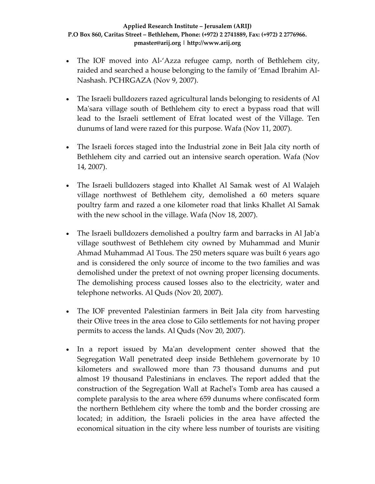- The IOF moved into Al-'Azza refugee camp, north of Bethlehem city, raided and searched a house belonging to the family of 'Emad Ibrahim Al‐ Nashash. PCHRGAZA (Nov 9, 2007).
- The Israeli bulldozers razed agricultural lands belonging to residents of Al Ma'sara village south of Bethlehem city to erect a bypass road that will lead to the Israeli settlement of Efrat located west of the Village. Ten dunums of land were razed for this purpose. Wafa (Nov 11, 2007).
- The Israeli forces staged into the Industrial zone in Beit Jala city north of Bethlehem city and carried out an intensive search operation. Wafa (Nov 14, 2007).
- The Israeli bulldozers staged into Khallet Al Samak west of Al Walajeh village northwest of Bethlehem city, demolished a 60 meters square poultry farm and razed a one kilometer road that links Khallet Al Samak with the new school in the village. Wafa (Nov 18, 2007).
- The Israeli bulldozers demolished a poultry farm and barracks in Al Jab'a village southwest of Bethlehem city owned by Muhammad and Munir Ahmad Muhammad Al Tous. The 250 meters square was built 6 years ago and is considered the only source of income to the two families and was demolished under the pretext of not owning proper licensing documents. The demolishing process caused losses also to the electricity, water and telephone networks. Al Quds (Nov 20, 2007).
- The IOF prevented Palestinian farmers in Beit Jala city from harvesting their Olive trees in the area close to Gilo settlements for not having proper permits to access the lands. Al Quds (Nov 20, 2007).
- In a report issued by Maʹan development center showed that the Segregation Wall penetrated deep inside Bethlehem governorate by 10 kilometers and swallowed more than 73 thousand dunums and put almost 19 thousand Palestinians in enclaves. The report added that the construction of the Segregation Wall at Rachelʹs Tomb area has caused a complete paralysis to the area where 659 dunums where confiscated form the northern Bethlehem city where the tomb and the border crossing are located; in addition, the Israeli policies in the area have affected the economical situation in the city where less number of tourists are visiting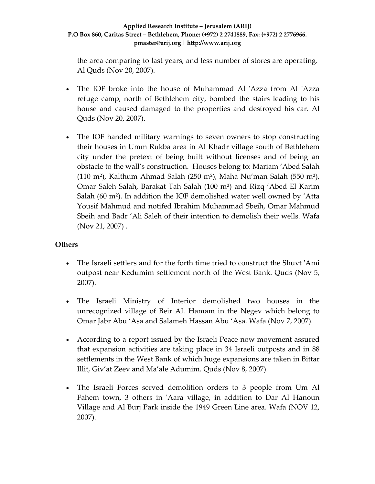the area comparing to last years, and less number of stores are operating. Al Quds (Nov 20, 2007).

- The IOF broke into the house of Muhammad Al 'Azza from Al 'Azza refuge camp, north of Bethlehem city, bombed the stairs leading to his house and caused damaged to the properties and destroyed his car. Al Quds (Nov 20, 2007).
- The IOF handed military warnings to seven owners to stop constructing their houses in Umm Rukba area in Al Khadr village south of Bethlehem city under the pretext of being built without licenses and of being an obstacle to the wall's construction. Houses belong to: Mariam 'Abed Salah  $(110 \text{ m}^2)$ , Kalthum Ahmad Salah (250 m<sup>2</sup>), Maha Nu'man Salah (550 m<sup>2</sup>), Omar Saleh Salah, Barakat Tah Salah (100 m²) and Rizq 'Abed El Karim Salah (60 m²). In addition the IOF demolished water well owned by 'Atta Yousif Mahmud and notifed Ibrahim Muhammad Sbeih, Omar Mahmud Sbeih and Badr 'Ali Saleh of their intention to demolish their wells. Wafa (Nov 21, 2007) .

## **Others**

- The Israeli settlers and for the forth time tried to construct the Shuvt 'Ami outpost near Kedumim settlement north of the West Bank. Quds (Nov 5, 2007).
- The Israeli Ministry of Interior demolished two houses in the unrecognized village of Beir AL Hamam in the Negev which belong to Omar Jabr Abu 'Asa and Salameh Hassan Abu 'Asa. Wafa (Nov 7, 2007).
- According to a report issued by the Israeli Peace now movement assured that expansion activities are taking place in 34 Israeli outposts and in 88 settlements in the West Bank of which huge expansions are taken in Bittar Illit, Giv'at Zeev and Ma'ale Adumim. Quds (Nov 8, 2007).
- The Israeli Forces served demolition orders to 3 people from Um Al Fahem town, 3 others in 'Aara village, in addition to Dar Al Hanoun Village and Al Burj Park inside the 1949 Green Line area. Wafa (NOV 12, 2007).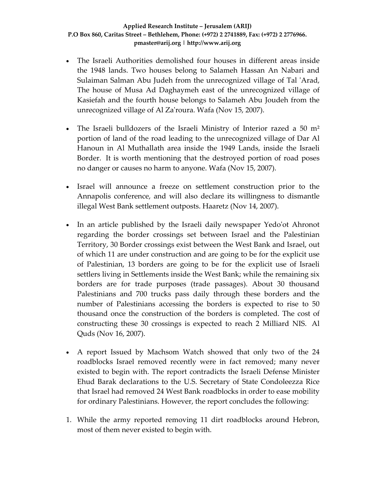- The Israeli Authorities demolished four houses in different areas inside the 1948 lands. Two houses belong to Salameh Hassan An Nabari and Sulaiman Salman Abu Judeh from the unrecognized village of Tal ʹArad, The house of Musa Ad Daghaymeh east of the unrecognized village of Kasiefah and the fourth house belongs to Salameh Abu Joudeh from the unrecognized village of Al Zaʹroura. Wafa (Nov 15, 2007).
- The Israeli bulldozers of the Israeli Ministry of Interior razed a 50  $m<sup>2</sup>$ portion of land of the road leading to the unrecognized village of Dar Al Hanoun in Al Muthallath area inside the 1949 Lands, inside the Israeli Border. It is worth mentioning that the destroyed portion of road poses no danger or causes no harm to anyone. Wafa (Nov 15, 2007).
- Israel will announce a freeze on settlement construction prior to the Annapolis conference, and will also declare its willingness to dismantle illegal West Bank settlement outposts. Haaretz (Nov 14, 2007).
- In an article published by the Israeli daily newspaper Yedoʹot Ahronot regarding the border crossings set between Israel and the Palestinian Territory, 30 Border crossings exist between the West Bank and Israel, out of which 11 are under construction and are going to be for the explicit use of Palestinian, 13 borders are going to be for the explicit use of Israeli settlers living in Settlements inside the West Bank; while the remaining six borders are for trade purposes (trade passages). About 30 thousand Palestinians and 700 trucks pass daily through these borders and the number of Palestinians accessing the borders is expected to rise to 50 thousand once the construction of the borders is completed. The cost of constructing these 30 crossings is expected to reach 2 Milliard NIS. Al Quds (Nov 16, 2007).
- A report Issued by Machsom Watch showed that only two of the 24 roadblocks Israel removed recently were in fact removed; many never existed to begin with. The report contradicts the Israeli Defense Minister Ehud Barak declarations to the U.S. Secretary of State Condoleezza Rice that Israel had removed 24 West Bank roadblocks in order to ease mobility for ordinary Palestinians. However, the report concludes the following:
- 1. While the army reported removing 11 dirt roadblocks around Hebron, most of them never existed to begin with.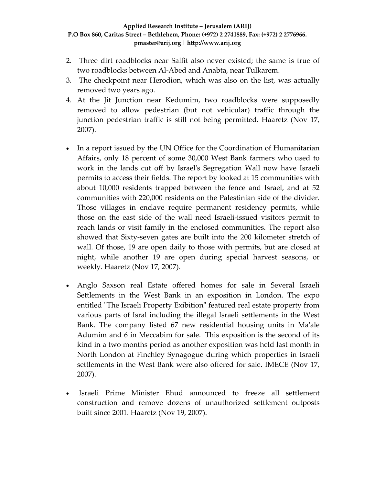- 2. Three dirt roadblocks near Salfit also never existed; the same is true of two roadblocks between Al‐Abed and Anabta, near Tulkarem.
- 3. The checkpoint near Herodion, which was also on the list, was actually removed two years ago.
- 4. At the Jit Junction near Kedumim, two roadblocks were supposedly removed to allow pedestrian (but not vehicular) traffic through the junction pedestrian traffic is still not being permitted. Haaretz (Nov 17, 2007).
- In a report issued by the UN Office for the Coordination of Humanitarian Affairs, only 18 percent of some 30,000 West Bank farmers who used to work in the lands cut off by Israelʹs Segregation Wall now have Israeli permits to access their fields. The report by looked at 15 communities with about 10,000 residents trapped between the fence and Israel, and at 52 communities with 220,000 residents on the Palestinian side of the divider. Those villages in enclave require permanent residency permits, while those on the east side of the wall need Israeli‐issued visitors permit to reach lands or visit family in the enclosed communities. The report also showed that Sixty‐seven gates are built into the 200 kilometer stretch of wall. Of those, 19 are open daily to those with permits, but are closed at night, while another 19 are open during special harvest seasons, or weekly. Haaretz (Nov 17, 2007).
- Anglo Saxson real Estate offered homes for sale in Several Israeli Settlements in the West Bank in an exposition in London. The expo entitled "The Israeli Property Exibition" featured real estate property from various parts of Isral including the illegal Israeli settlements in the West Bank. The company listed 67 new residential housing units in Maʹale Adumim and 6 in Meccabim for sale. This exposition is the second of its kind in a two months period as another exposition was held last month in North London at Finchley Synagogue during which properties in Israeli settlements in the West Bank were also offered for sale. IMECE (Nov 17, 2007).
- Israeli Prime Minister Ehud announced to freeze all settlement construction and remove dozens of unauthorized settlement outposts built since 2001. Haaretz (Nov 19, 2007).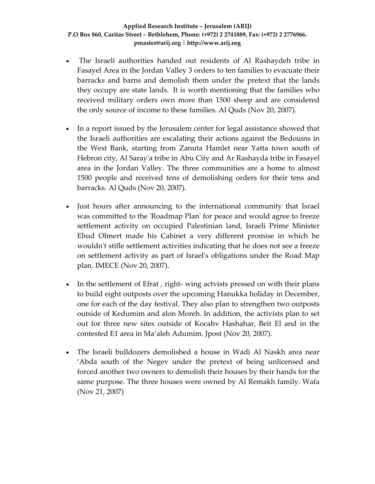- The Israeli authorities handed out residents of Al Rashaydeh tribe in Fasayel Area in the Jordan Valley 3 orders to ten families to evacuate their barracks and barns and demolish them under the pretext that the lands they occupy are state lands. It is worth mentioning that the families who received military orders own more than 1500 sheep and are considered the only source of income to these families. Al Quds (Nov 20, 2007).
- In a report issued by the Jerusalem center for legal assistance showed that the Israeli authorities are escalating their actions against the Bedouins in the West Bank, starting from Zanuta Hamlet near Yatta town south of Hebron city, Al Saray'a tribe in Abu City and Ar Rashayda tribe in Fasayel area in the Jordan Valley. The three communities are a home to almost 1500 people and received tens of demolishing orders for their tens and barracks. Al Quds (Nov 20, 2007).
- Just hours after announcing to the international community that Israel was committed to the 'Roadmap Plan' for peace and would agree to freeze settlement activity on occupied Palestinian land, Israeli Prime Minister Ehud Olmert made his Cabinet a very different promise in which he wouldn't stifle settlement activities indicating that he does not see a freeze on settlement activity as part of Israelʹs obligations under the Road Map plan. IMECE (Nov 20, 2007).
- In the settlement of Efrat, right-wing actvists pressed on with their plans to build eight outposts over the upcoming Hanukka holiday in December, one for each of the day festival. They also plan to strengthen two outposts outside of Kedumim and alon Moreh. In addition, the activists plan to set out for three new sites outside of Kocahv Hashahar, Beit El and in the contested E1 area in Ma'aleh Adumim. Jpost (Nov 20, 2007).
- The Israeli bulldozers demolished a house in Wadi Al Naskh area near 'Abda south of the Negev under the pretext of being unlicensed and forced another two owners to demolish their houses by their hands for the same purpose. The three houses were owned by Al Remakh family. Wafa (Nov 21, 2007)